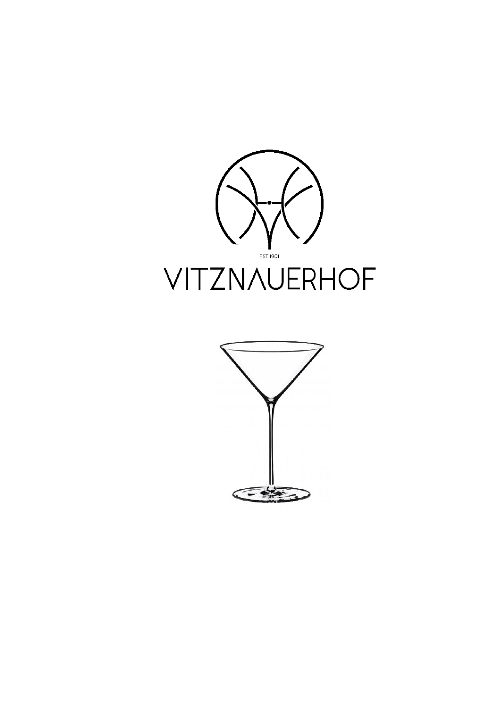

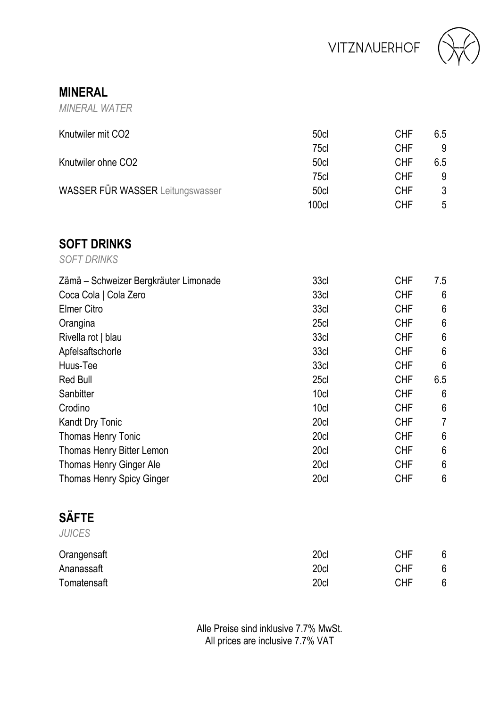



**MINERAL**

*MINERAL WATER*

| Knutwiler mit CO <sub>2</sub><br>Knutwiler ohne CO <sub>2</sub> | 50cl<br>75cl<br>50cl<br>75cl | <b>CHF</b><br><b>CHF</b><br><b>CHF</b><br><b>CHF</b> | 6.5<br>9<br>6.5<br>9 |
|-----------------------------------------------------------------|------------------------------|------------------------------------------------------|----------------------|
| <b>WASSER FÜR WASSER Leitungswasser</b>                         | 50cl<br>100cl                | <b>CHF</b><br><b>CHF</b>                             | 3<br>5               |
| <b>SOFT DRINKS</b><br><b>SOFT DRINKS</b>                        |                              |                                                      |                      |
| Zämä – Schweizer Bergkräuter Limonade                           | 33cl                         | <b>CHF</b>                                           | 7.5                  |
| Coca Cola   Cola Zero                                           | 33cl                         | <b>CHF</b>                                           | 6                    |
| Elmer Citro                                                     | 33cl                         | <b>CHF</b>                                           | 6                    |
| Orangina                                                        | 25cl                         | <b>CHF</b>                                           | 6                    |
| Rivella rot   blau                                              | 33cl                         | <b>CHF</b>                                           | 6                    |
| Apfelsaftschorle                                                | 33cl                         | <b>CHF</b>                                           | 6                    |
| Huus-Tee                                                        | 33cl                         | <b>CHF</b>                                           | 6                    |
| <b>Red Bull</b>                                                 | 25cl                         | <b>CHF</b>                                           | 6.5                  |
| Sanbitter                                                       | 10cl                         | <b>CHF</b>                                           | 6                    |
| Crodino                                                         | 10cl                         | <b>CHF</b>                                           | 6                    |
| Kandt Dry Tonic                                                 | 20cl                         | <b>CHF</b>                                           | $\overline{7}$       |
| Thomas Henry Tonic                                              | 20cl                         | <b>CHF</b>                                           | 6                    |
| Thomas Henry Bitter Lemon                                       | 20cl                         | <b>CHF</b>                                           | 6                    |
| Thomas Henry Ginger Ale                                         | 20cl                         | <b>CHF</b>                                           | 6                    |
| Thomas Henry Spicy Ginger                                       | 20cl                         | <b>CHF</b>                                           | 6                    |

#### **SÄFTE** *JUICES*

| JUIULO      |      |            |   |
|-------------|------|------------|---|
| Orangensaft | 20cl | <b>CHF</b> | 6 |
| Ananassaft  | 20cl | CHF        | 6 |
| Tomatensaft | 20cl | CHF        | 6 |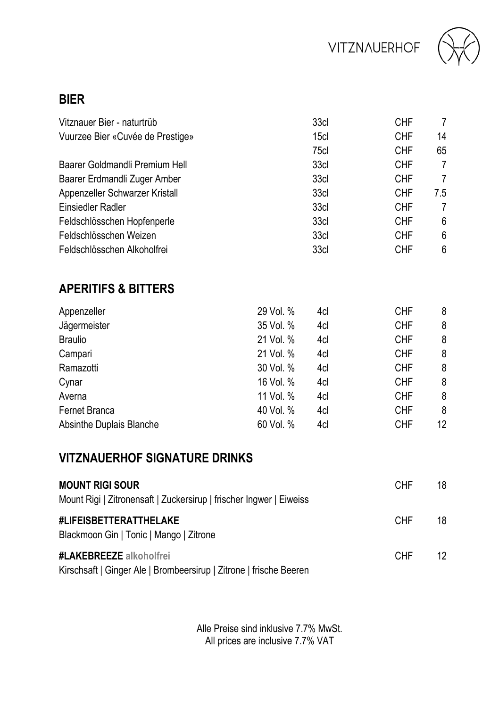



#### **BIER**

| Vitznauer Bier - naturtrüb       | 33cl             | <b>CHF</b> | 7   |
|----------------------------------|------------------|------------|-----|
| Vuurzee Bier «Cuvée de Prestige» | 15c <sub>l</sub> | <b>CHF</b> | 14  |
|                                  | 75cl             | <b>CHF</b> | 65  |
| Baarer Goldmandli Premium Hell   | 33cl             | <b>CHF</b> | 7   |
| Baarer Erdmandli Zuger Amber     | 33cl             | <b>CHF</b> | 7   |
| Appenzeller Schwarzer Kristall   | 33cl             | <b>CHF</b> | 7.5 |
| Einsiedler Radler                | 33cl             | <b>CHF</b> | 7   |
| Feldschlösschen Hopfenperle      | 33cl             | <b>CHF</b> | 6   |
| Feldschlösschen Weizen           | 33cl             | <b>CHF</b> | 6   |
| Feldschlösschen Alkoholfrei      | 33cl             | <b>CHF</b> | 6   |

## **APERITIFS & BITTERS**

| Appenzeller              | 29 Vol. % | 4cl | <b>CHF</b> | 8  |
|--------------------------|-----------|-----|------------|----|
| Jägermeister             | 35 Vol. % | 4cl | <b>CHF</b> | 8  |
| <b>Braulio</b>           | 21 Vol. % | 4cl | <b>CHF</b> | 8  |
| Campari                  | 21 Vol. % | 4cl | <b>CHF</b> | 8  |
| Ramazotti                | 30 Vol. % | 4cl | <b>CHF</b> | 8  |
| Cynar                    | 16 Vol. % | 4cl | <b>CHF</b> | 8  |
| Averna                   | 11 Vol. % | 4cl | <b>CHF</b> | 8  |
| Fernet Branca            | 40 Vol. % | 4cl | <b>CHF</b> | 8  |
| Absinthe Duplais Blanche | 60 Vol. % | 4cl | <b>CHF</b> | 12 |

### **VITZNAUERHOF SIGNATURE DRINKS**

| <b>MOUNT RIGI SOUR</b><br>Mount Rigi   Zitronensaft   Zuckersirup   frischer Ingwer   Eiweiss | CHE. | 18 |
|-----------------------------------------------------------------------------------------------|------|----|
| #LIFEISBETTERATTHELAKE<br>Blackmoon Gin   Tonic   Mango   Zitrone                             | CHE. | 18 |
| #LAKEBREEZE alkoholfrei<br>Kirschsaft   Ginger Ale   Brombeersirup   Zitrone   frische Beeren | CHE. | 12 |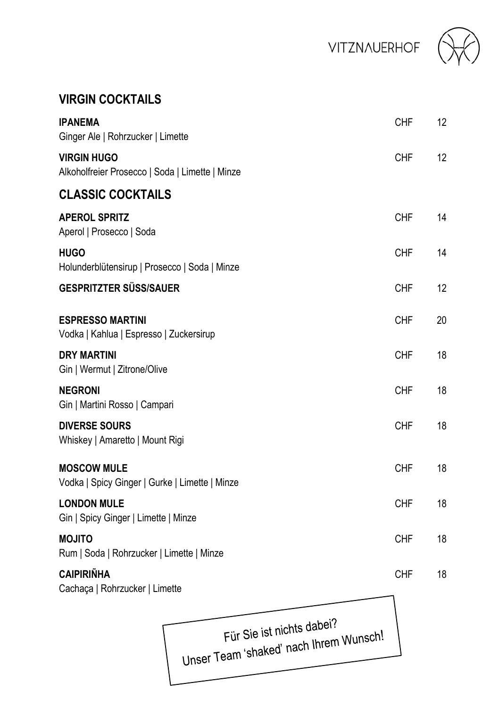VITZNAUERHOF



## **VIRGIN COCKTAILS**

| <b>IPANEMA</b><br>Ginger Ale   Rohrzucker   Limette                   | <b>CHF</b> | 12 |
|-----------------------------------------------------------------------|------------|----|
| <b>VIRGIN HUGO</b><br>Alkoholfreier Prosecco   Soda   Limette   Minze | <b>CHF</b> | 12 |
| <b>CLASSIC COCKTAILS</b>                                              |            |    |
| <b>APEROL SPRITZ</b><br>Aperol   Prosecco   Soda                      | <b>CHF</b> | 14 |
| <b>HUGO</b><br>Holunderblütensirup   Prosecco   Soda   Minze          | <b>CHF</b> | 14 |
| <b>GESPRITZTER SÜSS/SAUER</b>                                         | <b>CHF</b> | 12 |
| <b>ESPRESSO MARTINI</b><br>Vodka   Kahlua   Espresso   Zuckersirup    | <b>CHF</b> | 20 |
| <b>DRY MARTINI</b><br>Gin   Wermut   Zitrone/Olive                    | <b>CHF</b> | 18 |
| <b>NEGRONI</b><br>Gin   Martini Rosso   Campari                       | <b>CHF</b> | 18 |
| <b>DIVERSE SOURS</b><br>Whiskey   Amaretto   Mount Rigi               | <b>CHF</b> | 18 |
| <b>MOSCOW MULE</b><br>Vodka   Spicy Ginger   Gurke   Limette   Minze  | <b>CHF</b> | 18 |
| <b>LONDON MULE</b><br>Gin   Spicy Ginger   Limette   Minze            | <b>CHF</b> | 18 |
| <b>MOJITO</b><br>Rum   Soda   Rohrzucker   Limette   Minze            | <b>CHF</b> | 18 |
| <b>CAIPIRIÑHA</b><br>Cachaça   Rohrzucker   Limette                   | <b>CHF</b> | 18 |
|                                                                       |            |    |

 $\epsilon$   $\epsilon$   $\epsilon$  is  $\epsilon$  nichts dapendents Ful profession and intellectual prices in the proof of the T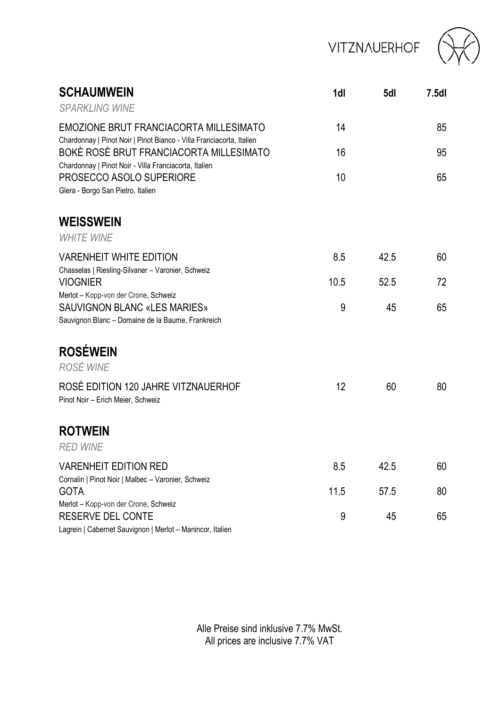# **VITZNAUERHOF**



| <b>SCHAUMWEIN</b><br><b>SPARKI ING WINF</b>                                                                                   | 1dl  | 5dl  | 7.5d |
|-------------------------------------------------------------------------------------------------------------------------------|------|------|------|
| EMOZIONE BRUT FRANCIACORTA MILLESIMATO                                                                                        | 14   |      | 85   |
| Chardonnay   Pinot Noir   Pinot Bianco - Villa Franciacorta, Italien<br>BOKÈ ROSÈ BRUT FRANCIACORTA MILLESIMATO               | 16   |      | 95   |
| Chardonnay   Pinot Noir - Villa Franciacorta, Italien<br>PROSECCO ASOLO SUPERIORE<br>Glera - Borgo San Pietro, Italien        | 10   |      | 65   |
| <b>WEISSWEIN</b><br><b>WHITE WINE</b>                                                                                         |      |      |      |
| VARENHEIT WHITE EDITION<br>Chasselas   Riesling-Silvaner - Varonier, Schweiz                                                  | 8.5  | 42.5 | 60   |
| <b>VIOGNIER</b>                                                                                                               | 10.5 | 52.5 | 72   |
| Merlot - Kopp-von der Crone, Schweiz<br>SAUVIGNON BLANC «LES MARIES»<br>Sauvignon Blanc - Domaine de la Baume, Frankreich     | 9    | 45   | 65   |
| <b>ROSÉWEIN</b><br>ROSÉ WINE                                                                                                  |      |      |      |
| ROSÉ EDITION 120 JAHRE VITZNAUERHOF<br>Pinot Noir - Erich Meier, Schweiz                                                      | 12   | 60   | 80   |
| <b>ROTWEIN</b><br><b>RFD WINF</b>                                                                                             |      |      |      |
| <b>VARENHEIT EDITION RED</b>                                                                                                  | 8.5  | 42.5 | 60   |
| Cornalin   Pinot Noir   Malbec - Varonier, Schweiz<br><b>GOTA</b>                                                             | 11.5 | 57.5 | 80   |
| Merlot - Kopp-von der Crone, Schweiz<br><b>RESERVE DEL CONTE</b><br>Lagrein   Cabernet Sauvignon   Merlot - Manincor, Italien | 9    | 45   | 65   |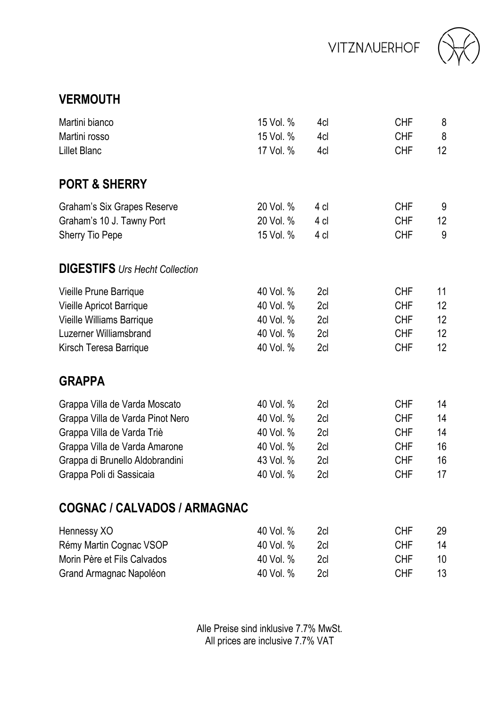



### **VERMOUTH**

| Martini bianco                        | 15 Vol. % | 4cl  | <b>CHF</b> | 8               |
|---------------------------------------|-----------|------|------------|-----------------|
| Martini rosso                         | 15 Vol. % | 4cl  | <b>CHF</b> | 8               |
| <b>Lillet Blanc</b>                   | 17 Vol. % | 4cl  | <b>CHF</b> | 12 <sup>2</sup> |
| <b>PORT &amp; SHERRY</b>              |           |      |            |                 |
| Graham's Six Grapes Reserve           | 20 Vol. % | 4 cl | <b>CHF</b> | 9               |
| Graham's 10 J. Tawny Port             | 20 Vol. % | 4 cl | <b>CHF</b> | 12 <sup>°</sup> |
| Sherry Tio Pepe                       | 15 Vol. % | 4 cl | <b>CHF</b> | 9               |
| <b>DIGESTIFS</b> Urs Hecht Collection |           |      |            |                 |
| Vieille Prune Barrique                | 40 Vol. % | 2cl  | <b>CHF</b> | 11              |
| Vieille Apricot Barrique              | 40 Vol. % | 2cl  | <b>CHF</b> | 12              |
| Vieille Williams Barrique             | 40 Vol. % | 2cl  | <b>CHF</b> | 12              |
| Luzerner Williamsbrand                | 40 Vol. % | 2cl  | <b>CHF</b> | 12              |
| Kirsch Teresa Barrique                | 40 Vol. % | 2cl  | <b>CHF</b> | 12              |
| <b>GRAPPA</b>                         |           |      |            |                 |
| Grappa Villa de Varda Moscato         | 40 Vol. % | 2cl  | <b>CHF</b> | 14              |
| Grappa Villa de Varda Pinot Nero      | 40 Vol. % | 2cl  | <b>CHF</b> | 14              |
| Grappa Villa de Varda Triè            | 40 Vol. % | 2cl  | <b>CHF</b> | 14              |
| Grappa Villa de Varda Amarone         | 40 Vol. % | 2cl  | <b>CHF</b> | 16              |
| Grappa di Brunello Aldobrandini       | 43 Vol. % | 2cl  | <b>CHF</b> | 16              |
| Grappa Poli di Sassicaia              | 40 Vol. % | 2cl  | <b>CHF</b> | 17              |
| COGNAC / CALVADOS / ARMAGNAC          |           |      |            |                 |
| Hennessy XO                           | 40 Vol. % | 2cl  | <b>CHF</b> | 29              |
| Rémy Martin Cognac VSOP               | 40 Vol. % | 2cl  | <b>CHF</b> | 14              |
| Morin Père et Fils Calvados           | 40 Vol. % | 2cl  | <b>CHF</b> | 10              |
| Grand Armagnac Napoléon               | 40 Vol. % | 2cl  | <b>CHF</b> | 13              |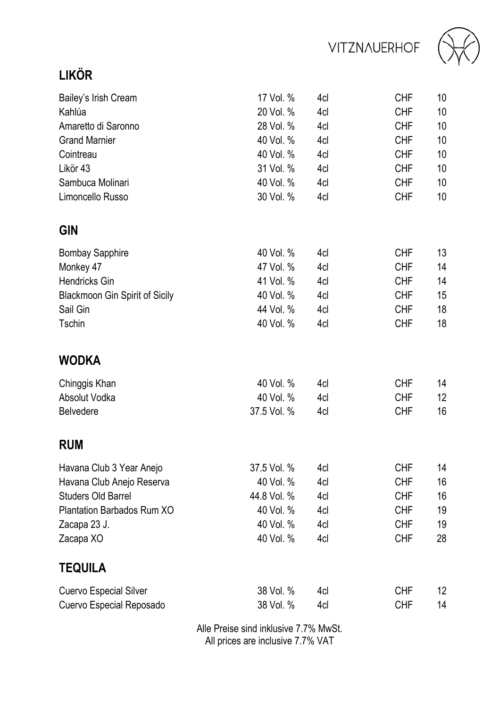**VITZNAUERHOF** 



## **LIKÖR**

| Bailey's Irish Cream           | 17 Vol. %   | 4cl | <b>CHF</b> | 10              |
|--------------------------------|-------------|-----|------------|-----------------|
| Kahlúa                         | 20 Vol. %   | 4cl | <b>CHF</b> | 10              |
| Amaretto di Saronno            | 28 Vol. %   | 4cl | <b>CHF</b> | 10              |
| <b>Grand Marnier</b>           | 40 Vol. %   | 4cl | <b>CHF</b> | 10              |
| Cointreau                      | 40 Vol. %   | 4cl | <b>CHF</b> | 10              |
| Likör 43                       | 31 Vol. %   | 4cl | <b>CHF</b> | 10              |
| Sambuca Molinari               | 40 Vol. %   | 4cl | <b>CHF</b> | 10              |
| Limoncello Russo               | 30 Vol. %   | 4cl | <b>CHF</b> | 10              |
| <b>GIN</b>                     |             |     |            |                 |
| <b>Bombay Sapphire</b>         | 40 Vol. %   | 4cl | <b>CHF</b> | 13              |
| Monkey 47                      | 47 Vol. %   | 4cl | <b>CHF</b> | 14              |
| Hendricks Gin                  | 41 Vol. %   | 4cl | <b>CHF</b> | 14              |
| Blackmoon Gin Spirit of Sicily | 40 Vol. %   | 4cl | <b>CHF</b> | 15              |
| Sail Gin                       | 44 Vol. %   | 4cl | <b>CHF</b> | 18              |
| Tschin                         | 40 Vol. %   | 4cl | <b>CHF</b> | 18              |
| <b>WODKA</b>                   |             |     |            |                 |
| Chinggis Khan                  | 40 Vol. %   | 4cl | <b>CHF</b> | 14              |
| Absolut Vodka                  | 40 Vol. %   | 4cl | <b>CHF</b> | 12 <sup>2</sup> |
| Belvedere                      | 37.5 Vol. % | 4cl | <b>CHF</b> | 16              |
| <b>RUM</b>                     |             |     |            |                 |
| Havana Club 3 Year Anejo       | 37.5 Vol. % | 4cl | <b>CHF</b> | 14              |
| Havana Club Anejo Reserva      | 40 Vol. %   | 4cl | <b>CHF</b> | 16              |
| <b>Studers Old Barrel</b>      | 44.8 Vol. % | 4cl | <b>CHF</b> | 16              |
| Plantation Barbados Rum XO     | 40 Vol. %   | 4cl | <b>CHF</b> | 19              |
| Zacapa 23 J.                   | 40 Vol. %   | 4cl | <b>CHF</b> | 19              |
| Zacapa XO                      | 40 Vol. %   | 4cl | <b>CHF</b> | 28              |
| <b>TEQUILA</b>                 |             |     |            |                 |
| Cuervo Especial Silver         | 38 Vol. %   | 4cl | <b>CHF</b> | 12              |
| Cuervo Especial Reposado       | 38 Vol. %   | 4cl | <b>CHF</b> | 14              |
|                                |             |     |            |                 |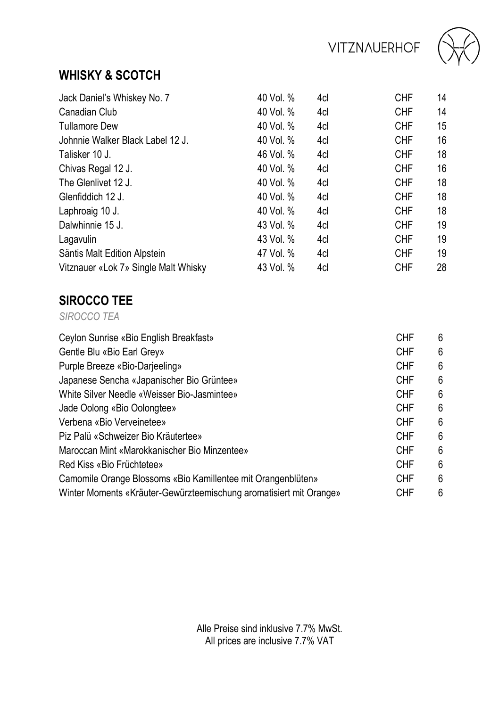

## **WHISKY & SCOTCH**

| Jack Daniel's Whiskey No. 7          | 40 Vol. % | 4cl | <b>CHF</b> | 14 |
|--------------------------------------|-----------|-----|------------|----|
| Canadian Club                        | 40 Vol. % | 4cl | <b>CHF</b> | 14 |
| <b>Tullamore Dew</b>                 | 40 Vol. % | 4cl | <b>CHF</b> | 15 |
| Johnnie Walker Black Label 12 J.     | 40 Vol. % | 4cl | <b>CHF</b> | 16 |
| Talisker 10 J.                       | 46 Vol. % | 4cl | <b>CHF</b> | 18 |
| Chivas Regal 12 J.                   | 40 Vol. % | 4cl | <b>CHF</b> | 16 |
| The Glenlivet 12 J.                  | 40 Vol. % | 4cl | <b>CHF</b> | 18 |
| Glenfiddich 12 J.                    | 40 Vol. % | 4cl | <b>CHF</b> | 18 |
| Laphroaig 10 J.                      | 40 Vol. % | 4cl | <b>CHF</b> | 18 |
| Dalwhinnie 15 J.                     | 43 Vol. % | 4cl | <b>CHF</b> | 19 |
| Lagavulin                            | 43 Vol. % | 4cl | <b>CHF</b> | 19 |
| Säntis Malt Edition Alpstein         | 47 Vol. % | 4cl | <b>CHF</b> | 19 |
| Vitznauer «Lok 7» Single Malt Whisky | 43 Vol. % | 4cl | <b>CHF</b> | 28 |

## **SIROCCO TEE**

*SIROCCO TEA*

| Ceylon Sunrise «Bio English Breakfast»                             | <b>CHF</b> | 6 |
|--------------------------------------------------------------------|------------|---|
| Gentle Blu «Bio Earl Grey»                                         | <b>CHF</b> | 6 |
| Purple Breeze «Bio-Darjeeling»                                     | <b>CHF</b> | 6 |
| Japanese Sencha «Japanischer Bio Grüntee»                          | <b>CHF</b> | 6 |
| White Silver Needle «Weisser Bio-Jasmintee»                        | <b>CHF</b> | 6 |
| Jade Oolong «Bio Oolongtee»                                        | <b>CHF</b> | 6 |
| Verbena «Bio Verveinetee»                                          | <b>CHF</b> | 6 |
| Piz Palü «Schweizer Bio Kräutertee»                                | CHF        | 6 |
| Maroccan Mint «Marokkanischer Bio Minzentee»                       | CHF        | 6 |
| Red Kiss «Bio Früchtetee»                                          | CHF        | 6 |
| Camomile Orange Blossoms «Bio Kamillentee mit Orangenblüten»       | <b>CHF</b> | 6 |
| Winter Moments «Kräuter-Gewürzteemischung aromatisiert mit Orange» | <b>CHF</b> | 6 |
|                                                                    |            |   |